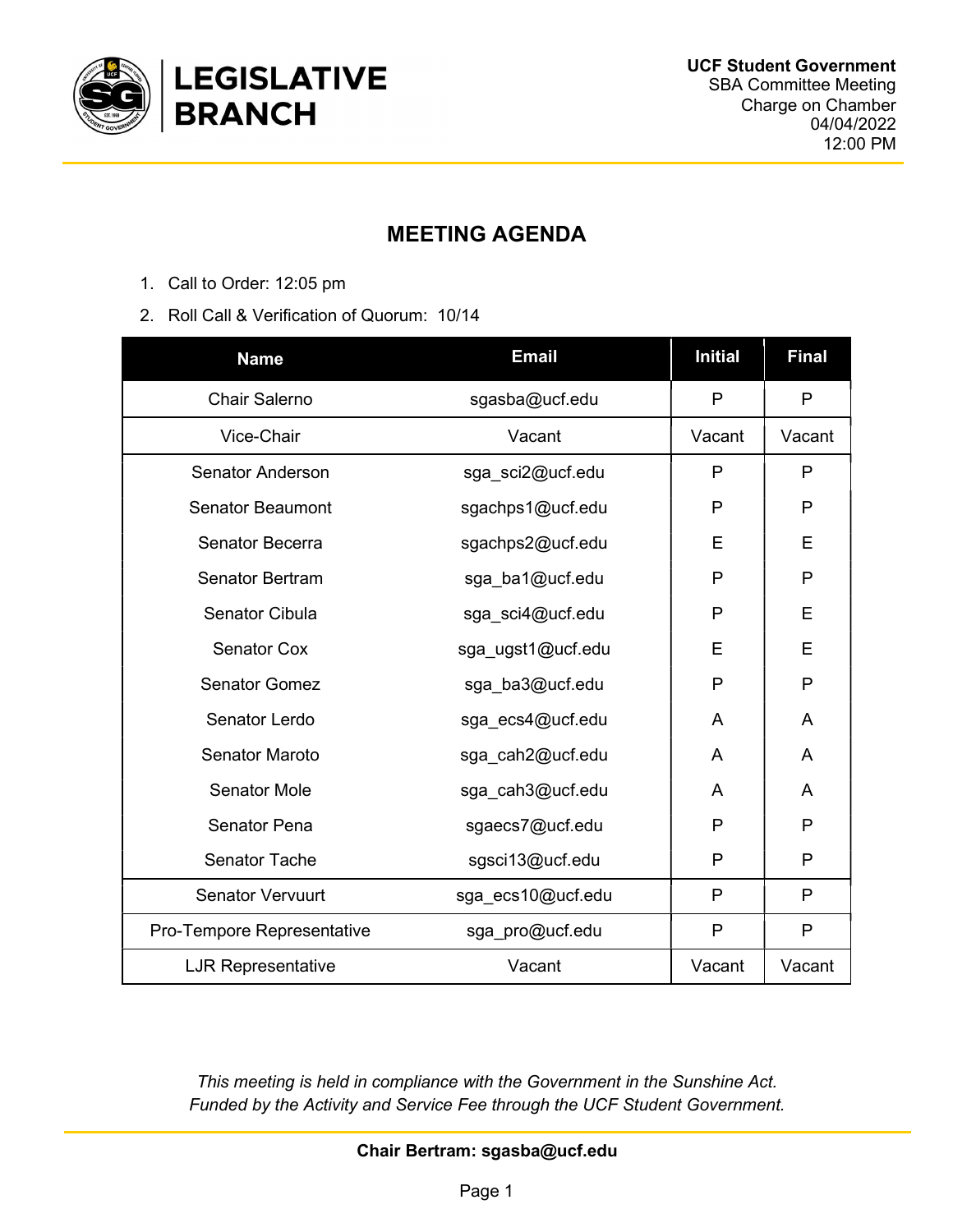

## MEETING AGENDA

- 1. Call to Order: 12:05 pm
- 2. Roll Call & Verification of Quorum: 10/14

| <b>Name</b>                | <b>Email</b>      | <b>Initial</b> | <b>Final</b> |
|----------------------------|-------------------|----------------|--------------|
| <b>Chair Salerno</b>       | sgasba@ucf.edu    | $\mathsf{P}$   | P            |
| Vice-Chair                 | Vacant            | Vacant         | Vacant       |
| <b>Senator Anderson</b>    | sga_sci2@ucf.edu  | P              | P            |
| <b>Senator Beaumont</b>    | sgachps1@ucf.edu  | P              | P            |
| Senator Becerra            | sgachps2@ucf.edu  | E              | E            |
| <b>Senator Bertram</b>     | sga_ba1@ucf.edu   | P              | P            |
| <b>Senator Cibula</b>      | sga_sci4@ucf.edu  | P              | E            |
| <b>Senator Cox</b>         | sga_ugst1@ucf.edu | E              | E            |
| <b>Senator Gomez</b>       | sga_ba3@ucf.edu   | P              | P            |
| Senator Lerdo              | sga ecs4@ucf.edu  | A              | A            |
| <b>Senator Maroto</b>      | sga_cah2@ucf.edu  | A              | A            |
| <b>Senator Mole</b>        | sga cah3@ucf.edu  | A              | A            |
| <b>Senator Pena</b>        | sgaecs7@ucf.edu   | P              | P            |
| <b>Senator Tache</b>       | sgsci13@ucf.edu   | P              | P            |
| <b>Senator Vervuurt</b>    | sga ecs10@ucf.edu | P              | P            |
| Pro-Tempore Representative | sga_pro@ucf.edu   | P              | P            |
| <b>LJR Representative</b>  | Vacant            | Vacant         | Vacant       |

This meeting is held in compliance with the Government in the Sunshine Act. Funded by the Activity and Service Fee through the UCF Student Government.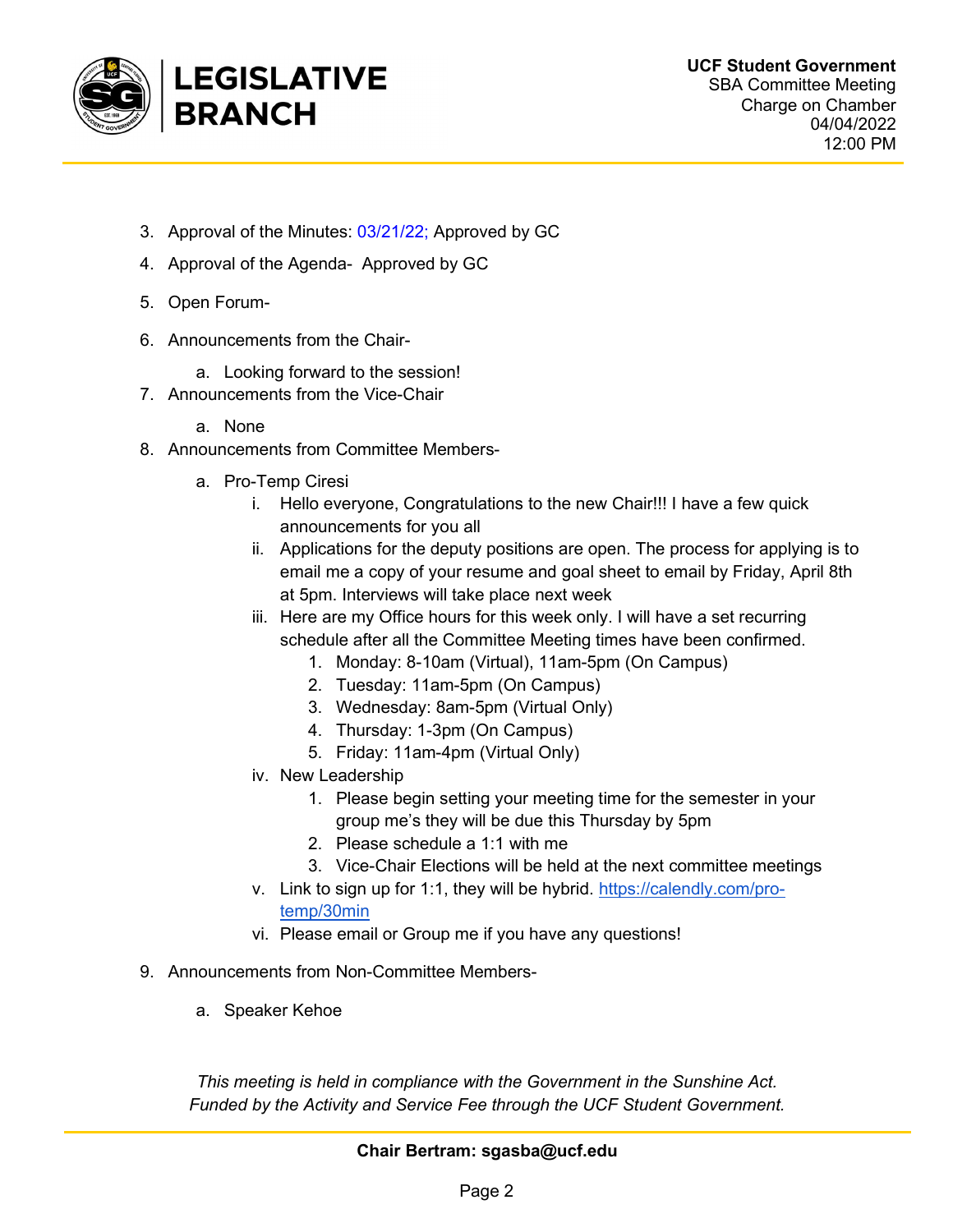

- 3. Approval of the Minutes: 03/21/22; Approved by GC
- 4. Approval of the Agenda- Approved by GC
- 5. Open Forum-
- 6. Announcements from the Chair
	- a. Looking forward to the session!
- 7. Announcements from the Vice-Chair
	- a. None
- 8. Announcements from Committee Members
	- a. Pro-Temp Ciresi
		- i. Hello everyone, Congratulations to the new Chair!!! I have a few quick announcements for you all
		- ii. Applications for the deputy positions are open. The process for applying is to email me a copy of your resume and goal sheet to email by Friday, April 8th at 5pm. Interviews will take place next week
		- iii. Here are my Office hours for this week only. I will have a set recurring schedule after all the Committee Meeting times have been confirmed.
			- 1. Monday: 8-10am (Virtual), 11am-5pm (On Campus)
			- 2. Tuesday: 11am-5pm (On Campus)
			- 3. Wednesday: 8am-5pm (Virtual Only)
			- 4. Thursday: 1-3pm (On Campus)
			- 5. Friday: 11am-4pm (Virtual Only)
		- iv. New Leadership
			- 1. Please begin setting your meeting time for the semester in your group me's they will be due this Thursday by 5pm
			- 2. Please schedule a 1:1 with me
			- 3. Vice-Chair Elections will be held at the next committee meetings
		- v. Link to sign up for 1:1, they will be hybrid. https://calendly.com/protemp/30min
		- vi. Please email or Group me if you have any questions!
- 9. Announcements from Non-Committee Members
	- a. Speaker Kehoe

This meeting is held in compliance with the Government in the Sunshine Act. Funded by the Activity and Service Fee through the UCF Student Government.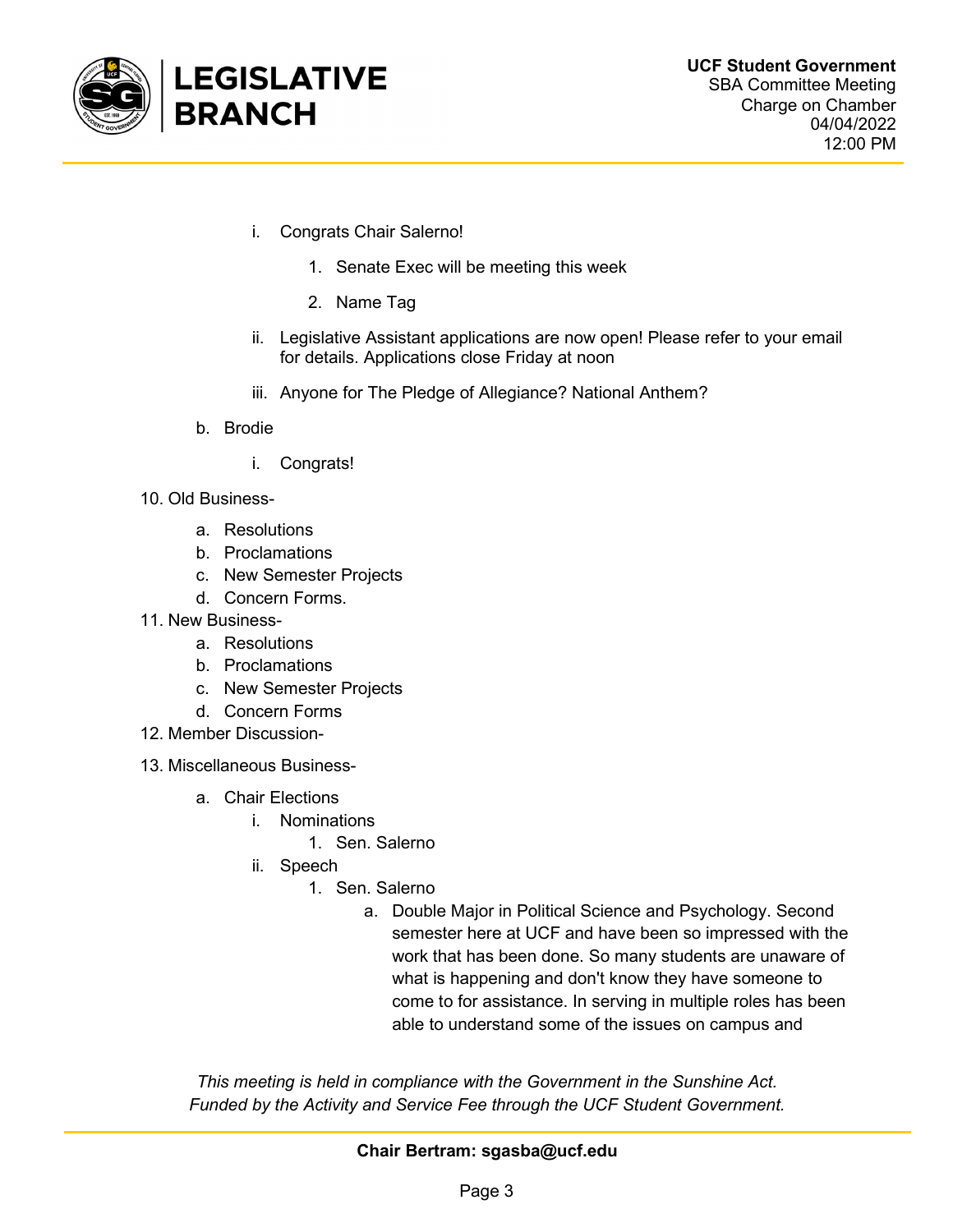

- i. Congrats Chair Salerno!
	- 1. Senate Exec will be meeting this week
	- 2. Name Tag
- ii. Legislative Assistant applications are now open! Please refer to your email for details. Applications close Friday at noon
- iii. Anyone for The Pledge of Allegiance? National Anthem?
- b. Brodie
	- i. Congrats!
- 10. Old Business
	- a. Resolutions
	- b. Proclamations
	- c. New Semester Projects
	- d. Concern Forms.
- 11. New Business
	- a. Resolutions
	- b. Proclamations
	- c. New Semester Projects
	- d. Concern Forms
- 12. Member Discussion-
- 13. Miscellaneous Business
	- a. Chair Elections
		- i. Nominations
			- 1. Sen. Salerno
		- ii. Speech
			- 1. Sen. Salerno
				- a. Double Major in Political Science and Psychology. Second semester here at UCF and have been so impressed with the work that has been done. So many students are unaware of what is happening and don't know they have someone to come to for assistance. In serving in multiple roles has been able to understand some of the issues on campus and

This meeting is held in compliance with the Government in the Sunshine Act. Funded by the Activity and Service Fee through the UCF Student Government.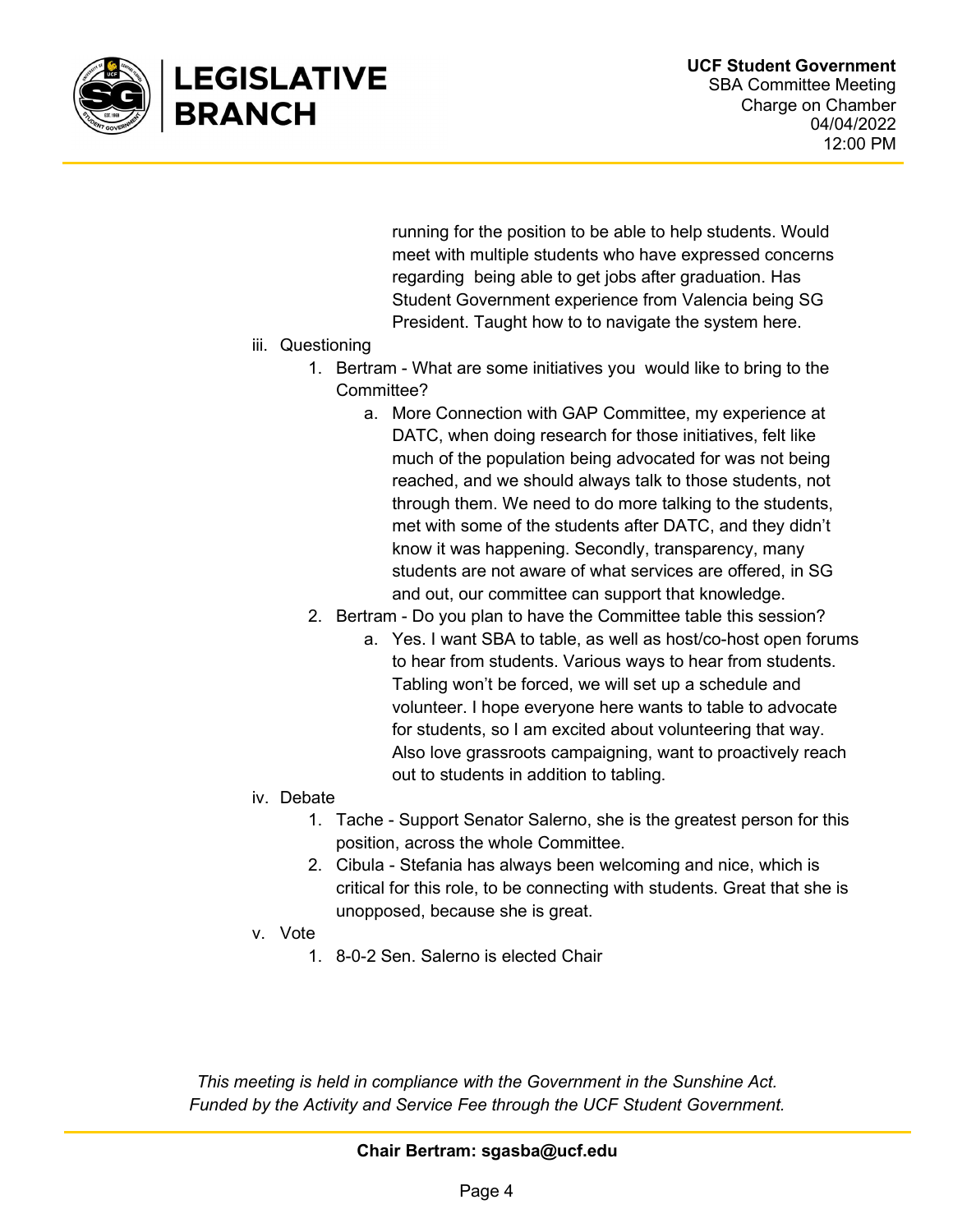

running for the position to be able to help students. Would meet with multiple students who have expressed concerns regarding being able to get jobs after graduation. Has Student Government experience from Valencia being SG President. Taught how to to navigate the system here.

- iii. Questioning
	- 1. Bertram What are some initiatives you would like to bring to the Committee?
		- a. More Connection with GAP Committee, my experience at DATC, when doing research for those initiatives, felt like much of the population being advocated for was not being reached, and we should always talk to those students, not through them. We need to do more talking to the students, met with some of the students after DATC, and they didn't know it was happening. Secondly, transparency, many students are not aware of what services are offered, in SG and out, our committee can support that knowledge.
	- 2. Bertram Do you plan to have the Committee table this session?
		- a. Yes. I want SBA to table, as well as host/co-host open forums to hear from students. Various ways to hear from students. Tabling won't be forced, we will set up a schedule and volunteer. I hope everyone here wants to table to advocate for students, so I am excited about volunteering that way. Also love grassroots campaigning, want to proactively reach out to students in addition to tabling.
- iv. Debate
	- 1. Tache Support Senator Salerno, she is the greatest person for this position, across the whole Committee.
	- 2. Cibula Stefania has always been welcoming and nice, which is critical for this role, to be connecting with students. Great that she is unopposed, because she is great.
- v. Vote
	- 1. 8-0-2 Sen. Salerno is elected Chair

This meeting is held in compliance with the Government in the Sunshine Act. Funded by the Activity and Service Fee through the UCF Student Government.